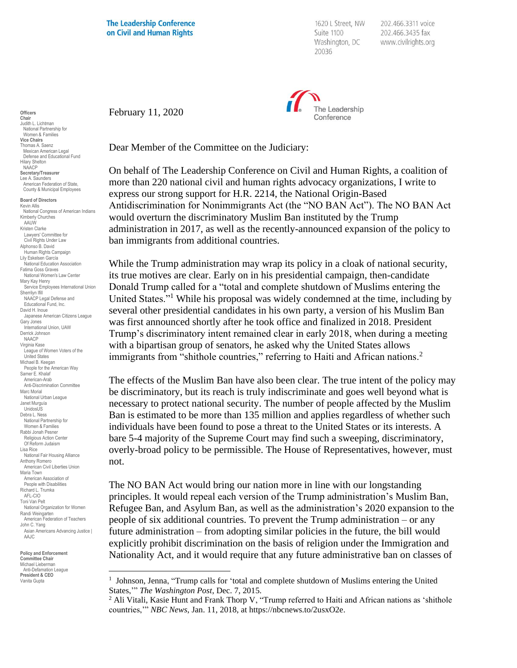**The Leadership Conference** on Civil and Human Rights

1620 L Street, NW Suite 1100 Washington, DC 20036

202.466.3311 voice 202.466.3435 fax www.civilrights.org



February 11, 2020

Dear Member of the Committee on the Judiciary:

On behalf of The Leadership Conference on Civil and Human Rights, a coalition of more than 220 national civil and human rights advocacy organizations, I write to express our strong support for H.R. 2214, the National Origin-Based Antidiscrimination for Nonimmigrants Act (the "NO BAN Act"). The NO BAN Act would overturn the discriminatory Muslim Ban instituted by the Trump administration in 2017, as well as the recently-announced expansion of the policy to ban immigrants from additional countries.

While the Trump administration may wrap its policy in a cloak of national security, its true motives are clear. Early on in his presidential campaign, then-candidate Donald Trump called for a "total and complete shutdown of Muslims entering the United States."<sup>1</sup> While his proposal was widely condemned at the time, including by several other presidential candidates in his own party, a version of his Muslim Ban was first announced shortly after he took office and finalized in 2018. President Trump's discriminatory intent remained clear in early 2018, when during a meeting with a bipartisan group of senators, he asked why the United States allows immigrants from "shithole countries," referring to Haiti and African nations.<sup>2</sup>

The effects of the Muslim Ban have also been clear. The true intent of the policy may be discriminatory, but its reach is truly indiscriminate and goes well beyond what is necessary to protect national security. The number of people affected by the Muslim Ban is estimated to be more than 135 million and applies regardless of whether such individuals have been found to pose a threat to the United States or its interests. A bare 5-4 majority of the Supreme Court may find such a sweeping, discriminatory, overly-broad policy to be permissible. The House of Representatives, however, must not.

The NO BAN Act would bring our nation more in line with our longstanding principles. It would repeal each version of the Trump administration's Muslim Ban, Refugee Ban, and Asylum Ban, as well as the administration's 2020 expansion to the people of six additional countries. To prevent the Trump administration – or any future administration – from adopting similar policies in the future, the bill would explicitly prohibit discrimination on the basis of religion under the Immigration and Nationality Act, and it would require that any future administrative ban on classes of

**Officers Chair** Judith L. Lichtman National Partnership for Women & Families **Vice Chairs** Thomas A. Saenz Mexican American Legal Defense and Educational Fund Hilary Shelton NAACP **Secretary/Treasurer** Lee A. Saunders American Federation of State, County & Municipal Employees

**Board of Directors** Kevin Allis National Congress of American Indians Kimberly Churches **AAUW** Kristen Clarke Lawyers' Committee for Civil Rights Under Law Alphonso B. David Human Rights Campaign Lily Eskelsen García National Education Association Fatima Goss Graves National Women's Law Center Mary Kay Henry Service Employees International Union Sherrilyn Ifill NAACP Legal Defense and Educational Fund, Inc. David H. Inoue Japanese American Citizens League Gary Jones International Union, UAW Derrick Johnson NAACP Virginia Kase League of Women Voters of the United States Michael B. Keegan People for the American Way Samer E. Khalaf American-Arab Anti-Discrimination Committee Marc Morial National Urban League Janet Murguía UnidosL<sub>IS</sub> Debra L. Ness National Partnership for Women & Families Rabbi Jonah Pesner Religious Action Center Of Reform Judaism Lisa Rice National Fair Housing Alliance Anthony Romero American Civil Liberties Union Maria Town American Association of People with Disabilities Richard L. Trumka AFL-CIO Toni Van Pelt National Organization for Women Randi Weingarten American Federation of Teachers John C. Yang Asian Americans Advancing Justice | AAJC

**Policy and Enforcement Committee Chair** Michael Lieberman<br>Anti-Defamation League Anti-Defamation League **President & CEO** Vanita Gupta

<sup>&</sup>lt;sup>1</sup> Johnson, Jenna, "Trump calls for 'total and complete shutdown of Muslims entering the United States,'" *The Washington Post*, Dec. 7, 2015.

<sup>&</sup>lt;sup>2</sup> Ali Vitali, Kasie Hunt and Frank Thorp V, "Trump referred to Haiti and African nations as 'shithole countries,'" *NBC News*, Jan. 11, 2018, at https://nbcnews.to/2usxO2e.